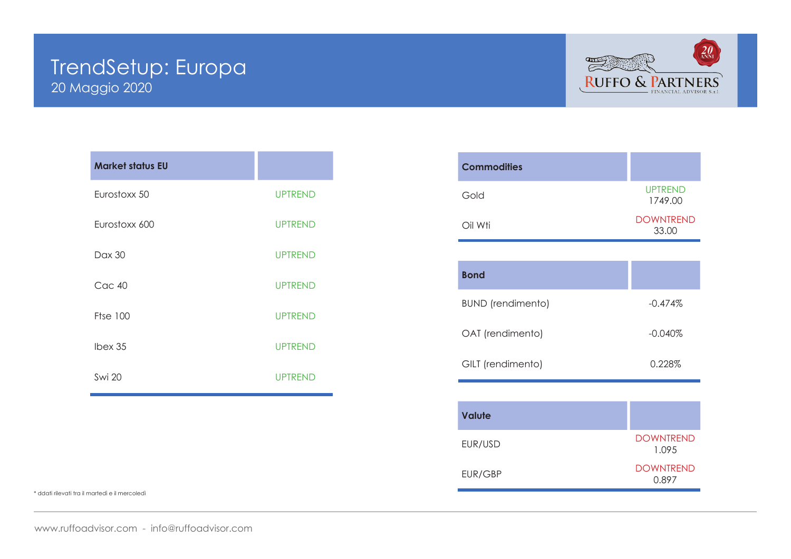# 20 Maggio 2020 TrendSetup: Europa



| <b>Market status EU</b> |                |
|-------------------------|----------------|
| Eurostoxx 50            | <b>UPTREND</b> |
| Eurostoxx 600           | <b>UPTREND</b> |
| Dax 30                  | <b>UPTREND</b> |
| Cac 40                  | <b>UPTREND</b> |
| <b>Ftse 100</b>         | <b>UPTREND</b> |
| Ibex 35                 | <b>UPTREND</b> |
| <b>Swi 20</b>           | <b>UPTREND</b> |

| <b>Commodities</b>       |                           |
|--------------------------|---------------------------|
| Gold                     | <b>UPTREND</b><br>1749.00 |
| Oil Wti                  | <b>DOWNTREND</b><br>33.00 |
|                          |                           |
| <b>Bond</b>              |                           |
| <b>BUND</b> (rendimento) | $-0.474%$                 |
| OAT (rendimento)         | $-0.040\%$                |
| GILT (rendimento)        | 0.228%                    |
|                          |                           |
| <b>Valute</b>            |                           |
| EUR/USD                  | <b>DOWNTREND</b><br>1.095 |
| EUR/GBP                  | <b>DOWNTREND</b><br>0.897 |

\* ddati rilevati tra il martedì e il mercoledì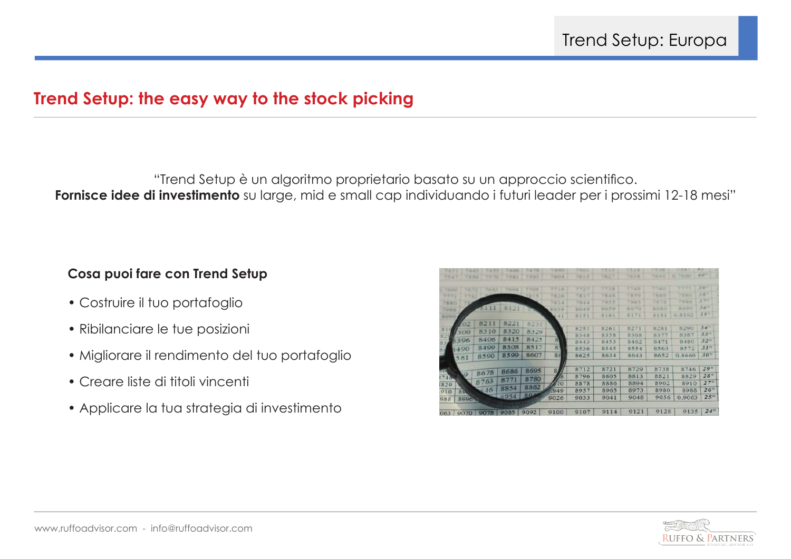# **Trend Setup: the easy way to the stock picking**

"Trend Setup è un algoritmo proprietario basato su un approccio scientifico. **Fornisce idee di investimento** su large, mid e small cap individuando i futuri leader per i prossimi 12-18 mesi"

# **Cosa puoi fare con Trend Setup**

- Costruire il tuo portafoglio
- Ribilanciare le tue posizioni
- Migliorare il rendimento del tuo portafoglio
- Creare liste di titoli vincenti
- Applicare la tua strategia di investimento

|               | <b>TANT</b> | 1433        |           |             | <b>ALCOHOL:</b> | . .    | <b>.</b> | 17.19 |              |               |              |  |
|---------------|-------------|-------------|-----------|-------------|-----------------|--------|----------|-------|--------------|---------------|--------------|--|
| 79.47         | 7496        | <b>1999</b> | 1787      | The Monte W | Transfer        | 2411.9 | 14.27    | 7618  | Total St     | THURSDAY<br>× | 4.97         |  |
|               |             |             |           |             |                 |        |          |       |              |               |              |  |
| <b>Tubulu</b> | - 4         | Tuck to     | 7 8 9 8 8 | <b>TTOM</b> | 7718            | 7727   | 7738     | 7749. | TT4U)        | ,,,,          | $3 - 2$      |  |
| 9773          | 7787        |             |           | 下级下所        | 78.26           | 7837   | 78.43    | 7859  | <b>TRAVO</b> | 7330          | 387          |  |
| 7880          |             |             |           |             | 7933            | 7944   | 7955     | 7965  | フルフカ         | 7936          | オナー          |  |
| 7986          |             | 5111        | 8121      |             | <b>ROYQ</b>     | 8049   | 8059     | 8070  | <b>BOBD</b>  | 8090          | $36 -$       |  |
| 5090          |             |             |           |             | 41              | 8151   | 8161     | 8171  | 8181         | 0.8192        | $35 -$       |  |
|               | $^{02}$     | 8211        | 8221      | 8231        |                 |        |          |       |              |               |              |  |
|               |             | 8310        | 8320      | 8329        |                 | 8251   | 8261     | 8271  | 8281         | 8290          | 34.1         |  |
| 825           | 300         |             |           |             |                 | 8348   | 8358     | 8368  | 8377         | 8387          | $33^\circ$   |  |
|               | 3396        | 8406        | 8415      | 8425        | 81              | 8443   | 8453     | 8462  | 8471         | 8480          | $32^\circ$   |  |
|               | 8490        | 8499        | 8508      | 8517        | 8 <sup>2</sup>  | 8536   | 8545     | 8554  | 8563         | 8572          | $31^\circ$   |  |
|               | 581         | 8590        | 8599      | 8607        | 86              | 8625   | 8634     | 8643  | 8652         | 0.8660        | $30^\circ$   |  |
|               |             |             |           |             |                 | 8712   | 8721     | 8729  | 8738         | 8746          | $29^\circ$   |  |
| <b>SEE</b>    |             | 8678        | 8686      | 8695        | 8<br>ls         | 8796   | 8805     | 8813  | 8821         | 8829          | $28^\circ$   |  |
| 740           |             | 8763        | 8771      | 8780        |                 |        |          |       | 8902         |               | $27^{\circ}$ |  |
| 829           |             |             | 8854      | 8862        | 470             | 8878   | 8886     | 8894  |              | 8910          |              |  |
| 910           | 89          | 846         |           | 804         | 0.949           | 8957   | 8965     | 8973  | 8980         | 8988          | $26^\circ$   |  |
| 988           | 8996        |             | 8934      |             | 9026            | 9033   | 9041     | 9048  | 9056         | 0.9063        | $25^\circ$   |  |
|               |             | 9078        | 9085      | 9092        | 9100            | 9107   | 9114     | 9121  | 9128         | 9135          | $24^{\circ}$ |  |
| 063           | 9070        |             |           |             |                 |        |          |       |              |               |              |  |

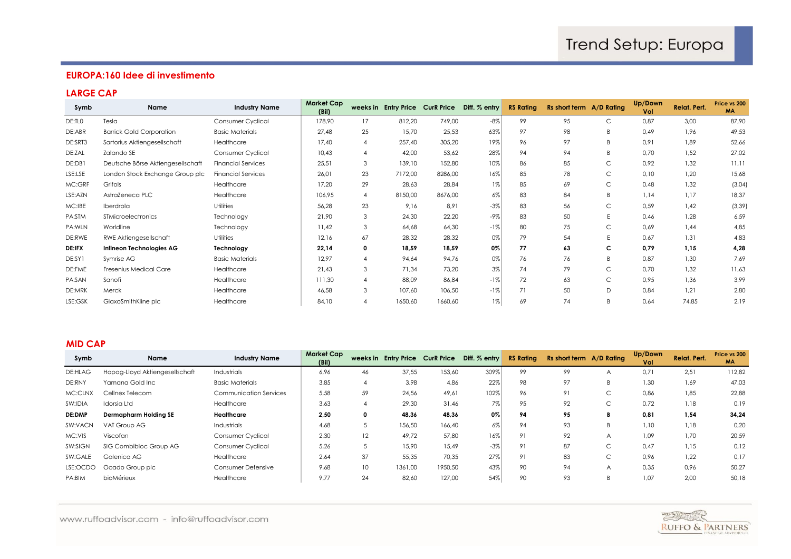# **EUROPA:160 Idee di investimento**

## **LARGE CAP**

| Symb          | Name                              | <b>Industry Name</b>      | <b>Market Cap</b><br>(Bil) |    |         |         | weeks in Entry Price Curk Price Diff. % entry | <b>RS Rating</b> | Rs short term A/D Rating |   | Up/Down<br>Vol | Relat. Perf. | Price vs 200<br><b>MA</b> |
|---------------|-----------------------------------|---------------------------|----------------------------|----|---------|---------|-----------------------------------------------|------------------|--------------------------|---|----------------|--------------|---------------------------|
| DE:TLO        | Tesla                             | Consumer Cyclical         | 178,90                     | 17 | 812,20  | 749,00  | $-8\%$                                        | 99               | 95                       | С | 0,87           | 3,00         | 87,90                     |
| DE:ABR        | <b>Barrick Gold Corporation</b>   | <b>Basic Materials</b>    | 27,48                      | 25 | 15,70   | 25,53   | 63%                                           | 97               | 98                       | B | 0,49           | 1,96         | 49,53                     |
| DE:SRT3       | Sartorius Aktiengesellschaft      | Healthcare                | 17,40                      | 4  | 257,40  | 305,20  | 19%                                           | 96               | 97                       | B | 0,91           | 1,89         | 52,66                     |
| DE:ZAL        | Zalando SE                        | Consumer Cyclical         | 10,43                      | 4  | 42,00   | 53,62   | 28%                                           | 94               | 94                       | B | 0,70           | 1,52         | 27,02                     |
| DE:DB1        | Deutsche Börse Aktiengesellschaft | <b>Financial Services</b> | 25,51                      | 3  | 139,10  | 152,80  | 10%                                           | 86               | 85                       | C | 0,92           | 1,32         | 11,11                     |
| LSE:LSE       | London Stock Exchange Group plc   | <b>Financial Services</b> | 26,01                      | 23 | 7172,00 | 8286,00 | 16%                                           | 85               | 78                       | C | 0,10           | 1,20         | 15,68                     |
| MC:GRF        | Grifols                           | Healthcare                | 17,20                      | 29 | 28,63   | 28,84   | $1\%$                                         | 85               | 69                       | C | 0,48           | 1,32         | (3,04)                    |
| LSE:AZN       | AstraZeneca PLC                   | Healthcare                | 106,95                     | 4  | 8150,00 | 8676,00 | 6%                                            | 83               | 84                       | B | 1,14           | 1,17         | 18,37                     |
| MC:IBE        | Iberdrola                         | <b>Utilities</b>          | 56,28                      | 23 | 9,16    | 8,91    | $-3%$                                         | 83               | 56                       | C | 0,59           | 1,42         | (3, 39)                   |
| PA:STM        | <b>STMicroelectronics</b>         | Technology                | 21,90                      | 3  | 24,30   | 22,20   | $-9\%$                                        | 83               | 50                       | E | 0,46           | 1,28         | 6,59                      |
| PA:WLN        | Worldline                         | Technology                | 11,42                      | 3  | 64,68   | 64,30   | $-1%$                                         | 80               | 75                       | C | 0,69           | 1,44         | 4,85                      |
| DE:RWE        | RWE Aktiengesellschaft            | <b>Utilities</b>          | 12,16                      | 67 | 28,32   | 28,32   | 0%                                            | 79               | 54                       | E | 0,67           | 1,31         | 4,83                      |
| <b>DE:IFX</b> | Infineon Technologies AG          | Technology                | 22,14                      | 0  | 18,59   | 18,59   | $0\%$                                         | 77               | 63                       | с | 0,79           | 1,15         | 4,28                      |
| DE:SY1        | Symrise AG                        | <b>Basic Materials</b>    | 12,97                      |    | 94,64   | 94,76   | 0%                                            | 76               | 76                       | B | 0,87           | 1,30         | 7,69                      |
| DE:FME        | Fresenius Medical Care            | Healthcare                | 21,43                      | 3  | 71,34   | 73,20   | 3%                                            | 74               | 79                       | C | 0,70           | 1,32         | 11,63                     |
| PA:SAN        | Sanofi                            | Healthcare                | 111,30                     |    | 88,09   | 86,84   | $-1%$                                         | 72               | 63                       | C | 0,95           | 1,36         | 3,99                      |
| DE:MRK        | Merck                             | Healthcare                | 46,58                      | 3  | 107,60  | 106,50  | $-1%$                                         | 71               | 50                       | D | 0,84           | 1,21         | 2,80                      |
| LSE:GSK       | GlaxoSmithKline plc               | Healthcare                | 84,10                      |    | 1650,60 | 1660,60 | $1\%$                                         | 69               | 74                       | B | 0,64           | 74,85        | 2,19                      |

### **MID CAP**

| Symb           | Name                           | <b>Industry Name</b>   | <b>Market Cap</b><br>(Bil) |    |         |         | weeks in Entry Price Curk Price Diff. % entry | <b>RS Rating</b> | Rs short term A/D Rating |             | Up/Down<br>Vol | Relat. Perf. | Price vs 200<br><b>MA</b> |
|----------------|--------------------------------|------------------------|----------------------------|----|---------|---------|-----------------------------------------------|------------------|--------------------------|-------------|----------------|--------------|---------------------------|
| <b>DE:HLAG</b> | Hapag-Lloyd Aktiengesellschaft | Industrials            | 6.96                       | 46 | 37,55   | 153,60  | 309%                                          | 99               | 99                       | A           | 0.71           | 2,51         | 112,82                    |
| DE:RNY         | Yamana Gold Inc                | <b>Basic Materials</b> | 3,85                       |    | 3,98    | 4,86    | 22%                                           | 98               | 97                       |             | 1,30           | 1,69         | 47,03                     |
| MC:CLNX        | Cellnex Telecom                | Communication Services | 5,58                       | 59 | 24,56   | 49,61   | 102%                                          | 96               | 91                       | $\sim$<br>U | 0,86           | 1,85         | 22,88                     |
| SW:IDIA        | Idorsia Ltd                    | Healthcare             | 3,63                       |    | 29,30   | 31,46   | 7%                                            | 95               | 92                       | $\sim$<br>Ċ | 0.72           | 1,18         | 0.19                      |
| <b>DE:DMP</b>  | Dermapharm Holding SE          | Healthcare             | 2,50                       | 0  | 48,36   | 48,36   | $0\%$                                         | 94               | 95                       | в           | 0.81           | 1,54         | 34,24                     |
| SW:VACN        | VAT Group AG                   | Industrials            | 4,68                       |    | 156,50  | 166,40  | $6\%$                                         | 94               | 93                       | B           | 1,10           | 1,18         | 0,20                      |
| MC:VIS         | Viscofan                       | Consumer Cyclical      | 2,30                       | 12 | 49,72   | 57,80   | 16%                                           | 91               | 92                       | A           | 1,09           | 1,70         | 20,59                     |
| SW:SIGN        | SIG Combibloc Group AG         | Consumer Cyclical      | 5,26                       |    | 15.90   | 15,49   | $-3%$                                         | 91               | 87                       | $\sim$<br>◡ | 0.47           | 1,15         | 0,12                      |
| SW:GALE        | Galenica AG                    | Healthcare             | 2,64                       | 37 | 55,35   | 70,35   | 27%                                           | 91               | 83                       | $\sim$<br>Ċ | 0,96           | 1,22         | 0.17                      |
| LSE:OCDO       | Ocado Group plc                | Consumer Defensive     | 9,68                       | 10 | 1361,00 | 1950,50 | 43%                                           | 90               | 94                       | A           | 0,35           | 0,96         | 50,27                     |
| PA:BIM         | bioMérieux                     | Healthcare             | 9.77                       | 24 | 82,60   | 127.00  | 54%                                           | 90               | 93                       |             | 1,07           | 2.00         | 50,18                     |

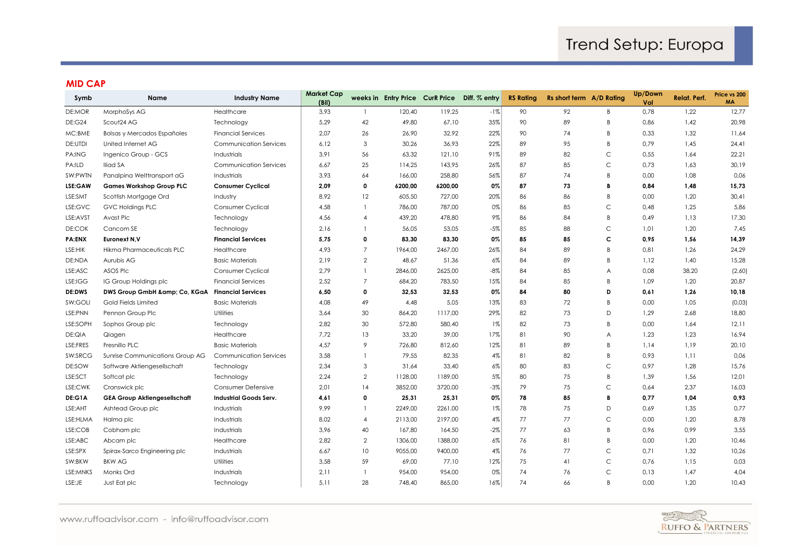#### **MID CAP**

| Symb          | <b>Name</b>                         | <b>Industry Name</b>          | <b>Market Cap</b><br>(Bil) |                |         |         | weeks in Entry Price CurR Price Diff. % entry | <b>RS Rating</b> | Rs short term A/D Rating |             | Up/Down<br>Vol | <b>Relat. Perf.</b> | Price vs 200<br>MA |
|---------------|-------------------------------------|-------------------------------|----------------------------|----------------|---------|---------|-----------------------------------------------|------------------|--------------------------|-------------|----------------|---------------------|--------------------|
| DE:MOR        | MorphoSys AG                        | Healthcare                    | 3,93                       |                | 120,40  | 119,25  | $-1%$                                         | 90               | 92                       | B           | 0,78           | 1,22                | 12,77              |
| <b>DE:G24</b> | Scout24 AG                          | Technology                    | 5,29                       | 42             | 49,80   | 67,10   | 35%                                           | 90               | 89                       | B           | 0,86           | 1,42                | 20,98              |
| MC:BME        | Bolsas y Mercados Españoles         | <b>Financial Services</b>     | 2,07                       | 26             | 26,90   | 32,92   | 22%                                           | 90               | 74                       | B           | 0,33           | 1,32                | 11,64              |
| DE:UTDI       | United Internet AG                  | <b>Communication Services</b> | 6,12                       | 3              | 30,26   | 36,93   | 22%                                           | 89               | 95                       | B           | 0,79           | 1,45                | 24,41              |
| PA:ING        | Ingenico Group - GCS                | Industrials                   | 3,91                       | 56             | 63,32   | 121,10  | 91%                                           | 89               | 82                       | C           | 0,55           | 1,64                | 22,21              |
| PA:ILD        | Iliad SA                            | Communication Services        | 6,67                       | 25             | 114,25  | 143,95  | 26%                                           | 87               | 85                       | $\mathsf C$ | 0,73           | 1,63                | 30,19              |
| SW:PWTN       | Panalpina Welttransport aG          | Industrials                   | 3,93                       | 64             | 166,00  | 258,80  | 56%                                           | 87               | 74                       | B           | 0,00           | 1,08                | 0,06               |
| LSE:GAW       | <b>Games Workshop Group PLC</b>     | <b>Consumer Cyclical</b>      | 2,09                       | 0              | 6200,00 | 6200,00 | 0%                                            | 87               | 73                       | B           | 0,84           | 1,48                | 15,73              |
| LSE:SMT       | Scottish Mortgage Ord               | Industry                      | 8,92                       | 12             | 605,50  | 727,00  | 20%                                           | 86               | 86                       | B           | 0,00           | 1,20                | 30,41              |
| LSE:GVC       | <b>GVC Holdings PLC</b>             | Consumer Cyclical             | 4,58                       |                | 786,00  | 787,00  | 0%                                            | 86               | 85                       | $\mathsf C$ | 0,48           | 1,25                | 5,86               |
| LSE:AVST      | Avast Plc                           | Technology                    | 4,56                       | 4              | 439,20  | 478,80  | 9%                                            | 86               | 84                       | B           | 0,49           | 1,13                | 17,30              |
| DE:COK        | Cancom SE                           | Technology                    | 2,16                       |                | 56,05   | 53,05   | $-5%$                                         | 85               | 88                       | C           | 1,01           | 1,20                | 7,45               |
| <b>PA:ENX</b> | Euronext N, V                       | <b>Financial Services</b>     | 5,75                       | 0              | 83,30   | 83,30   | 0%                                            | 85               | 85                       | с           | 0,95           | 1,56                | 14,39              |
| LSE:HIK       | Hikma Pharmaceuticals PLC           | Healthcare                    | 4,93                       | $\overline{7}$ | 1964,00 | 2467,00 | 26%                                           | 84               | 89                       | B           | 0,81           | 1,26                | 24,29              |
| DE:NDA        | Aurubis AG                          | <b>Basic Materials</b>        | 2,19                       | $\overline{2}$ | 48,67   | 51,36   | 6%                                            | 84               | 89                       | B           | 1,12           | 1,40                | 15,28              |
| LSE:ASC       | ASOS Plc                            | Consumer Cyclical             | 2,79                       |                | 2846,00 | 2625,00 | $-8%$                                         | 84               | 85                       | A           | 0,08           | 38,20               | (2,60)             |
| LSE:IGG       | IG Group Holdings plc               | <b>Financial Services</b>     | 2,52                       | $\overline{7}$ | 684,20  | 783,50  | 15%                                           | 84               | 85                       | B           | 1,09           | 1,20                | 20,87              |
| <b>DE:DWS</b> | DWS Group GmbH & Co, KGaA           | <b>Financial Services</b>     | 6,50                       | 0              | 32,53   | 32,53   | 0%                                            | 84               | 80                       | D           | 0,61           | 1,26                | 10,18              |
| SW:GOLI       | Gold Fields Limited                 | <b>Basic Materials</b>        | 4,08                       | 49             | 4,48    | 5,05    | 13%                                           | 83               | 72                       | B           | 0,00           | 1,05                | (0,03)             |
| LSE:PNN       | Pennon Group Plc                    | Utilities                     | 3,64                       | 30             | 864,20  | 1117,00 | 29%                                           | 82               | 73                       | D           | 1,29           | 2,68                | 18,80              |
| LSE:SOPH      | Sophos Group plc                    | Technology                    | 2,82                       | 30             | 572,80  | 580,40  | $1\%$                                         | 82               | 73                       | B           | 0,00           | 1,64                | 12,11              |
| DE:QIA        | Qiagen                              | Healthcare                    | 7,72                       | 13             | 33,20   | 39,00   | 17%                                           | 81               | 90                       | Α           | 1,23           | 1,23                | 16,94              |
| LSE:FRES      | Fresnillo PLC                       | <b>Basic Materials</b>        | 4,57                       | 9              | 726,80  | 812,60  | 12%                                           | 81               | 89                       | B           | 1,14           | 1,19                | 20,10              |
| SW:SRCG       | Sunrise Communications Group AG     | <b>Communication Services</b> | 3,58                       |                | 79,55   | 82,35   | 4%                                            | 81               | 82                       | B           | 0,93           | 1,11                | 0,06               |
| DE:SOW        | Software Aktiengesellschaft         | Technology                    | 2,34                       | 3              | 31,64   | 33,40   | 6%                                            | 80               | 83                       | $\mathsf C$ | 0,97           | 1,28                | 15,76              |
| LSE:SCT       | Softcat plc                         | Technology                    | 2,24                       | $\overline{a}$ | 1128,00 | 1189,00 | $5\%$                                         | 80               | 75                       | B           | 1,39           | 1,56                | 12,01              |
| LSE:CWK       | Cranswick plc                       | Consumer Defensive            | 2,01                       | 14             | 3852,00 | 3720,00 | $-3%$                                         | 79               | 75                       | C           | 0,64           | 2,37                | 16,03              |
| DE:G1A        | <b>GEA Group Aktiengesellschaft</b> | <b>Industrial Goods Serv.</b> | 4,61                       | 0              | 25,31   | 25,31   | 0%                                            | 78               | 85                       | B           | 0,77           | 1,04                | 0,93               |
| LSE:AHT       | Ashtead Group plc                   | Industrials                   | 9,99                       |                | 2249,00 | 2261,00 | $1\%$                                         | 78               | 75                       | D           | 0,69           | 1,35                | 0,77               |
| LSE:HLMA      | Halma plc                           | Industrials                   | 8,02                       | $\overline{4}$ | 2113,00 | 2197,00 | 4%                                            | 77               | 77                       | $\mathsf C$ | 0,00           | 1,20                | 8,78               |
| LSE:COB       | Cobham plc                          | Industrials                   | 3,96                       | 40             | 167,80  | 164,50  | $-2%$                                         | 77               | 63                       | B           | 0,96           | 0,99                | 3,55               |
| LSE:ABC       | Abcam plc                           | Healthcare                    | 2,82                       | $\overline{2}$ | 1306,00 | 1388,00 | 6%                                            | 76               | 81                       | B           | 0,00           | 1,20                | 10,46              |
| LSE:SPX       | Spirax-Sarco Engineering plc        | Industrials                   | 6,67                       | 10             | 9055,00 | 9400,00 | 4%                                            | 76               | 77                       | C           | 0,71           | 1,32                | 10,26              |
| SW:BKW        | <b>BKW AG</b>                       | Utilities                     | 3,58                       | 59             | 69,00   | 77,10   | 12%                                           | 75               | 41                       | C           | 0,76           | 1,15                | 0,03               |
| LSE:MNKS      | Monks Ord                           | Industrials                   | 2,11                       |                | 954,00  | 954,00  | 0%                                            | 74               | 76                       | Ċ           | 0,13           | 1,47                | 4,04               |
| LSE:JE        | Just Eat plc                        | Technology                    | 5,11                       | 28             | 748,40  | 865,00  | 16%                                           | 74               | 66                       | B           | 0,00           | 1,20                | 10,43              |

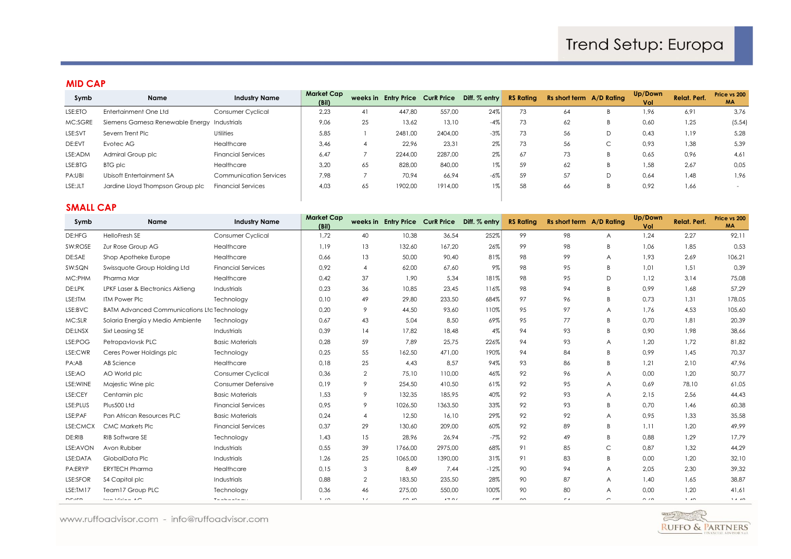#### **MID CAP**

| Symb    | Name                                        | <b>Industry Name</b>      | Market Cap<br>(Bil) |    |         |         | weeks in Entry Price Curk Price Diff. % entry | <b>RS Rating</b> | Rs short term A/D Rating |   | Up/Down<br>Vol | Relat. Perf. | Price vs 200<br><b>MA</b> |
|---------|---------------------------------------------|---------------------------|---------------------|----|---------|---------|-----------------------------------------------|------------------|--------------------------|---|----------------|--------------|---------------------------|
| LSE:ETO | Entertainment One Ltd                       | Consumer Cyclical         | 2,23                | 41 | 447,80  | 557,00  | 24%                                           | 73               | 64                       | B | 1,96           | 6,91         | 3,76                      |
| MC:SGRE | Siemens Gamesa Renewable Energy Industrials |                           | 9,06                | 25 | 13.62   | 13,10   | $-4%$                                         | 73               | 62                       | B | 0,60           | 1,25         | (5, 54)                   |
| LSE:SVT | Severn Trent Plc                            | <b>Utilities</b>          | 5,85                |    | 2481,00 | 2404.00 | $-3%$                                         | 73               | 56                       | D | 0,43           | 1,19         | 5,28                      |
| DE:EVT  | Evotec AG                                   | Healthcare                | 3,46                |    | 22,96   | 23,31   | 2%                                            | 73               | 56                       | ◡ | 0,93           | 1,38         | 5,39                      |
| LSE:ADM | Admiral Group plc                           | <b>Financial Services</b> | 6,47                |    | 2244,00 | 2287.00 | 2%                                            | 67               | 73                       | B | 0,65           | 0,96         | 4,61                      |
| LSE:BTG | BTG plc                                     | Healthcare                | 3,20                | 65 | 828,00  | 840,00  | $1\%$                                         | 59               | 62                       | B | 1,58           | 2,67         | 0,05                      |
| PA:UBI  | Ubisoft Entertainment SA                    | Communication Services    | 7,98                |    | 70.94   | 66,94   | $-6\%$                                        | 59               | 57                       | D | 0,64           | 1,48         | 1,96                      |
| LSE:JLT | Jardine Lloyd Thompson Group plc            | <b>Financial Services</b> | 4,03                | 65 | 1902,00 | 1914.00 | $1\%$                                         | 58               | 66                       | B | 0,92           | 1,66         |                           |
|         |                                             |                           |                     |    |         |         |                                               |                  |                          |   |                |              |                           |

### **SMALL CAP**

| Symb         | Name                                               | <b>Industry Name</b>                                | <b>Market Cap</b><br>(Bil) |                |         |         | weeks in Entry Price Curk Price Diff. % entry | <b>RS Rating</b> | Rs short term A/D Rating |                | Up/Down<br>Vol | <b>Relat. Perf.</b> | Price vs 200<br><b>MA</b> |
|--------------|----------------------------------------------------|-----------------------------------------------------|----------------------------|----------------|---------|---------|-----------------------------------------------|------------------|--------------------------|----------------|----------------|---------------------|---------------------------|
| DE:HFG       | HelloFresh SE                                      | Consumer Cyclical                                   | 1,72                       | 40             | 10,38   | 36,54   | 252%                                          | 99               | 98                       | A              | 1,24           | 2,27                | 92,11                     |
| SW:ROSE      | Zur Rose Group AG                                  | Healthcare                                          | 1,19                       | 13             | 132,60  | 167,20  | 26%                                           | 99               | 98                       | B              | 1,06           | 1,85                | 0,53                      |
| DE:SAE       | Shop Apotheke Europe                               | Healthcare                                          | 0,66                       | 13             | 50,00   | 90,40   | 81%                                           | 98               | 99                       | $\overline{A}$ | 1,93           | 2,69                | 106,21                    |
| SW:SQN       | Swissquote Group Holding Ltd                       | <b>Financial Services</b>                           | 0,92                       |                | 62,00   | 67,60   | 9%                                            | 98               | 95                       | B              | 1,01           | 1,51                | 0,39                      |
| MC:PHM       | Pharma Mar                                         | Healthcare                                          | 0,42                       | 37             | 1,90    | 5,34    | 181%                                          | 98               | 95                       | D              | 1,12           | 3,14                | 75,08                     |
| DE:LPK       | LPKF Laser & Electronics Aktieng                   | Industrials                                         | 0,23                       | 36             | 10.85   | 23,45   | 116%                                          | 98               | 94                       | B              | 0.99           | 1,68                | 57,29                     |
| LSE:ITM      | <b>ITM Power PIc</b>                               | Technology                                          | 0,10                       | 49             | 29,80   | 233,50  | 684%                                          | 97               | 96                       | B              | 0,73           | 1,31                | 178,05                    |
| LSE:BVC      | <b>BATM Advanced Communications Ltd Technology</b> |                                                     | 0,20                       | 9              | 44,50   | 93,60   | 110%                                          | 95               | 97                       | A              | 1,76           | 4,53                | 105,60                    |
| MC:SLR       | Solaria Energía y Medio Ambiente                   | Technology                                          | 0,67                       | 43             | 5,04    | 8,50    | 69%                                           | 95               | 77                       | B              | 0,70           | 1,81                | 20,39                     |
| DE:LNSX      | Sixt Leasing SE                                    | <b>Industrials</b>                                  | 0,39                       | 14             | 17.82   | 18,48   | 4%                                            | 94               | 93                       | B              | 0.90           | 1,98                | 38,66                     |
| LSE:POG      | Petropavlovsk PLC                                  | <b>Basic Materials</b>                              | 0,28                       | 59             | 7,89    | 25,75   | 226%                                          | 94               | 93                       | A              | 1,20           | 1,72                | 81,82                     |
| LSE:CWR      | Ceres Power Holdings plc                           | Technology                                          | 0,25                       | 55             | 162,50  | 471,00  | 190%                                          | 94               | 84                       | B              | 0,99           | 1,45                | 70,37                     |
| PA:AB        | AB Science                                         | Healthcare                                          | 0,18                       | 25             | 4,43    | 8,57    | 94%                                           | 93               | 86                       | B              | 1,21           | 2,10                | 47,96                     |
| LSE:AO       | AO World plc                                       | Consumer Cyclical                                   | 0,36                       | 2              | 75,10   | 110,00  | 46%                                           | 92               | 96                       | $\overline{A}$ | 0,00           | 1,20                | 50,77                     |
| LSE: WINE    | Majestic Wine plc                                  | Consumer Defensive                                  | 0,19                       | 9              | 254,50  | 410,50  | 61%                                           | 92               | 95                       | $\overline{A}$ | 0,69           | 78,10               | 61,05                     |
| LSE:CEY      | Centamin plc                                       | <b>Basic Materials</b>                              | 1,53                       | 9              | 132,35  | 185,95  | 40%                                           | 92               | 93                       | $\overline{A}$ | 2,15           | 2,56                | 44,43                     |
| LSE:PLUS     | Plus500 Ltd                                        | <b>Financial Services</b>                           | 0,95                       | 9              | 1026,50 | 1363,50 | 33%                                           | 92               | 93                       | B              | 0,70           | 1,46                | 60,38                     |
| LSE:PAF      | Pan African Resources PLC                          | <b>Basic Materials</b>                              | 0,24                       | $\overline{4}$ | 12,50   | 16,10   | 29%                                           | 92               | 92                       | A              | 0,95           | 1,33                | 35,58                     |
| LSE:CMCX     | <b>CMC Markets Plc</b>                             | <b>Financial Services</b>                           | 0,37                       | 29             | 130,60  | 209,00  | 60%                                           | 92               | 89                       | B              | 1,11           | 1,20                | 49,99                     |
| DE:RIB       | RIB Software SE                                    | Technology                                          | 1,43                       | 15             | 28,96   | 26,94   | $-7%$                                         | 92               | 49                       | B              | 0,88           | 1,29                | 17,79                     |
| LSE: AVON    | Avon Rubber                                        | Industrials                                         | 0,55                       | 39             | 1766,00 | 2975,00 | 68%                                           | 91               | 85                       | C              | 0,87           | 1,32                | 44,29                     |
| LSE:DATA     | GlobalData Plc                                     | Industrials                                         | 1,26                       | 25             | 1065,00 | 1390,00 | 31%                                           | 91               | 83                       | B              | 0,00           | 1,20                | 32,10                     |
| PA:ERYP      | <b>ERYTECH Pharma</b>                              | Healthcare                                          | 0,15                       | 3              | 8.49    | 7,44    | $-12%$                                        | 90               | 94                       | $\overline{A}$ | 2,05           | 2,30                | 39,32                     |
| LSE:SFOR     | \$4 Capital plc                                    | Industrials                                         | 0,88                       | 2              | 183,50  | 235,50  | 28%                                           | 90               | 87                       | $\overline{A}$ | 1,40           | 1,65                | 38,87                     |
| LSE:TM17     | Team17 Group PLC                                   | Technology                                          | 0,36                       | 46             | 275,00  | 550,00  | 100%                                          | 90               | 80                       | $\overline{A}$ | 0,00           | 1,20                | 41,61                     |
| <b>DEJOR</b> | <b><i>ELECTRATICS ARE</i></b>                      | $\overline{\mathbf{w}}$ is a subset of $\mathbf{w}$ | 1.10                       | 1/2            | $\sim$  | $1 - 0$ | $-$                                           | $\sim$           | $-1$                     | $\sim$         | $\sim$ $\sim$  | 1.10                | 1.4.40                    |

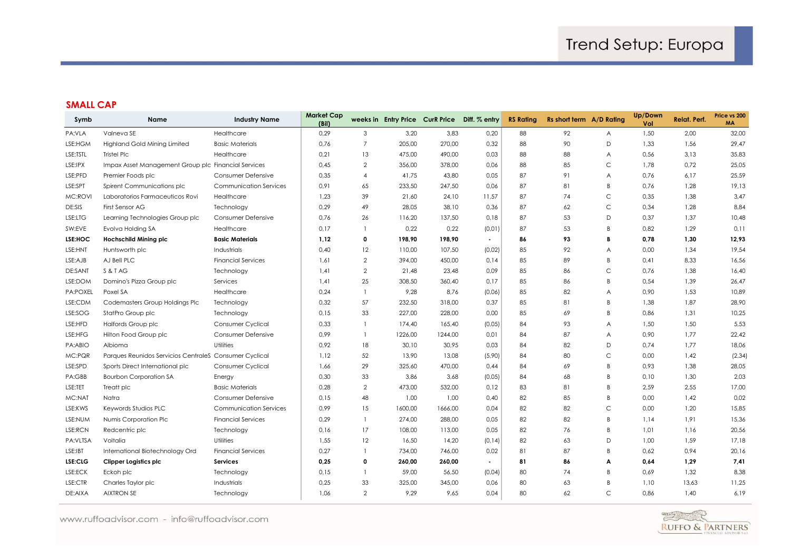## **SMALL CAP**

| Symb           | <b>Name</b>                                            | <b>Industry Name</b>          | <b>Market Cap</b><br>(Bil) |                |         | weeks in Entry Price CurR Price Diff. % entry |                | <b>RS Rating</b> | Rs short term A/D Rating |              | Up/Down<br>Vol | <b>Relat. Perf.</b> | Price vs 200<br><b>MA</b> |
|----------------|--------------------------------------------------------|-------------------------------|----------------------------|----------------|---------|-----------------------------------------------|----------------|------------------|--------------------------|--------------|----------------|---------------------|---------------------------|
| PA:VLA         | Valneva SE                                             | Healthcare                    | 0,29                       | 3              | 3,20    | 3,83                                          | 0,20           | 88               | 92                       | A            | 1,50           | 2,00                | 32,00                     |
| LSE:HGM        | <b>Highland Gold Mining Limited</b>                    | <b>Basic Materials</b>        | 0,76                       | $\overline{7}$ | 205,00  | 270,00                                        | 0,32           | 88               | 90                       | D            | 1,33           | 1,56                | 29,47                     |
| LSE:TSTL       | Tristel Plc                                            | Healthcare                    | 0,21                       | 13             | 475,00  | 490,00                                        | 0,03           | 88               | 88                       | A            | 0,56           | 3,13                | 35,83                     |
| LSE:IPX        | Impax Asset Management Group plc Financial Services    |                               | 0,45                       | $\overline{2}$ | 356,00  | 378,00                                        | 0,06           | 88               | 85                       | C            | 1,78           | 0,72                | 25,05                     |
| LSE:PFD        | Premier Foods plc                                      | Consumer Defensive            | 0,35                       | $\overline{4}$ | 41,75   | 43,80                                         | 0,05           | 87               | 91                       | A            | 0,76           | 6,17                | 25,59                     |
| LSE:SPT        | Spirent Communications plc                             | <b>Communication Services</b> | 0,91                       | 65             | 233,50  | 247,50                                        | 0,06           | 87               | 81                       | B            | 0,76           | 1,28                | 19,13                     |
| MC:ROVI        | Laboratorios Farmaceuticos Rovi                        | Healthcare                    | 1,23                       | 39             | 21,60   | 24,10                                         | 11,57          | 87               | 74                       | $\mathsf C$  | 0,35           | 1,38                | 3,47                      |
| DE:SIS         | First Sensor AG                                        | Technology                    | 0,29                       | 49             | 28,05   | 38,10                                         | 0,36           | 87               | 62                       | $\mathsf C$  | 0,34           | 1,28                | 8,84                      |
| LSE:LTG        | Learning Technologies Group plc                        | Consumer Defensive            | 0,76                       | 26             | 116,20  | 137,50                                        | 0,18           | 87               | 53                       | D            | 0,37           | 1,37                | 10,48                     |
| SW:EVE         | Evolva Holding SA                                      | Healthcare                    | 0,17                       |                | 0,22    | 0,22                                          | (0, 01)        | 87               | 53                       | B            | 0,82           | 1,29                | 0,11                      |
| LSE:HOC        | <b>Hochschild Mining plc</b>                           | <b>Basic Materials</b>        | 1,12                       | $\mathbf 0$    | 198,90  | 198,90                                        | $\blacksquare$ | 86               | 93                       | B            | 0,78           | 1,30                | 12,93                     |
| LSE:HNT        | Huntsworth plc                                         | Industrials                   | 0,40                       | 12             | 110,00  | 107,50                                        | (0,02)         | 85               | 92                       | A            | 0,00           | 1,34                | 19,54                     |
| LSE:AJB        | AJ Bell PLC                                            | <b>Financial Services</b>     | 1,61                       | $\overline{2}$ | 394,00  | 450,00                                        | 0,14           | 85               | 89                       | B            | 0,41           | 8,33                | 16,56                     |
| <b>DE:SANT</b> | S & T AG                                               | Technology                    | 1,41                       | $\overline{2}$ | 21,48   | 23,48                                         | 0,09           | 85               | 86                       | C            | 0,76           | 1,38                | 16,40                     |
| LSE:DOM        | Domino's Pizza Group plc                               | Services                      | 1,41                       | 25             | 308,50  | 360,40                                        | 0,17           | 85               | 86                       | B            | 0,54           | 1,39                | 26,47                     |
| PA:POXEL       | Poxel SA                                               | Healthcare                    | 0,24                       | $\mathbf{1}$   | 9,28    | 8,76                                          | (0,06)         | 85               | 82                       | A            | 0,90           | 1,53                | 10,89                     |
| LSE:CDM        | Codemasters Group Holdings Plc                         | Technology                    | 0,32                       | 57             | 232,50  | 318,00                                        | 0,37           | 85               | 81                       | B            | 1,38           | 1,87                | 28,90                     |
| LSE:SOG        | StatPro Group plc                                      | Technology                    | 0,15                       | 33             | 227,00  | 228,00                                        | 0,00           | 85               | 69                       | B            | 0,86           | 1,31                | 10,25                     |
| LSE:HFD        | Halfords Group plc                                     | Consumer Cyclical             | 0,33                       | 1              | 174.40  | 165.40                                        | (0,05)         | 84               | 93                       | A            | 1,50           | 1,50                | 5,53                      |
| LSE:HFG        | Hilton Food Group plc                                  | Consumer Defensive            | 0,99                       | $\mathbf{1}$   | 1226,00 | 1244,00                                       | 0,01           | 84               | 87                       | A            | 0,90           | 1,77                | 22,42                     |
| PA:ABIO        | Albioma                                                | <b>Utilities</b>              | 0,92                       | 18             | 30,10   | 30,95                                         | 0,03           | 84               | 82                       | D            | 0,74           | 1,77                | 18,06                     |
| MC:PQR         | Parques Reunidos Servicios Centrales Consumer Cyclical |                               | 1,12                       | 52             | 13,90   | 13,08                                         | (5,90)         | 84               | 80                       | C            | 0,00           | 1,42                | (2, 34)                   |
| LSE:SPD        | Sports Direct International plc                        | Consumer Cyclical             | 1,66                       | 29             | 325,60  | 470,00                                        | 0,44           | 84               | 69                       | B            | 0,93           | 1,38                | 28,05                     |
| PA:GBB         | <b>Bourbon Corporation SA</b>                          | Energy                        | 0,30                       | 33             | 3,86    | 3,68                                          | (0,05)         | 84               | 68                       | B            | 0,10           | 1,30                | 2,03                      |
| LSE:TET        | Treatt plc                                             | <b>Basic Materials</b>        | 0,28                       | $\overline{2}$ | 473,00  | 532,00                                        | 0,12           | 83               | 81                       | B            | 2,59           | 2,55                | 17,00                     |
| MC:NAT         | Natra                                                  | Consumer Defensive            | 0,15                       | 48             | 1,00    | 1,00                                          | 0,40           | 82               | 85                       | B            | 0,00           | 1,42                | 0,02                      |
| LSE:KWS        | Keywords Studios PLC                                   | <b>Communication Services</b> | 0,99                       | 15             | 1600,00 | 1666,00                                       | 0,04           | 82               | 82                       | $\mathsf C$  | 0,00           | 1,20                | 15,85                     |
| LSE:NUM        | Numis Corporation Plc                                  | <b>Financial Services</b>     | 0,29                       | $\mathbf{1}$   | 274,00  | 288,00                                        | 0,05           | 82               | 82                       | B            | 1,14           | 1,91                | 15,36                     |
| LSE:RCN        | Redcentric plc                                         | Technology                    | 0,16                       | 17             | 108,00  | 113,00                                        | 0,05           | 82               | 76                       | B            | 1,01           | 1,16                | 20,56                     |
| PA:VLTSA       | Voltalia                                               | <b>Utilities</b>              | 1,55                       | 12             | 16,50   | 14,20                                         | (0, 14)        | 82               | 63                       | D            | 1,00           | 1,59                | 17,18                     |
| LSE:IBT        | International Biotechnology Ord                        | <b>Financial Services</b>     | 0,27                       |                | 734,00  | 746,00                                        | 0,02           | 81               | 87                       | B            | 0,62           | 0,94                | 20,16                     |
| LSE:CLG        | Clipper Logistics plc                                  | Services                      | 0,25                       | 0              | 260,00  | 260,00                                        | $\blacksquare$ | 81               | 86                       | А            | 0,64           | 1,29                | 7,41                      |
| LSE:ECK        | Eckoh plc                                              | Technology                    | 0,15                       |                | 59,00   | 56,50                                         | (0,04)         | 80               | 74                       | B            | 0,69           | 1,32                | 8,38                      |
| LSE:CTR        | Charles Taylor plc                                     | Industrials                   | 0,25                       | 33             | 325,00  | 345,00                                        | 0,06           | 80               | 63                       | B            | 1,10           | 13,63               | 11,25                     |
| DE:AIXA        | <b>AIXTRON SE</b>                                      | Technology                    | 1,06                       | $\overline{2}$ | 9,29    | 9,65                                          | 0,04           | 80               | 62                       | $\mathsf{C}$ | 0,86           | 1,40                | 6,19                      |

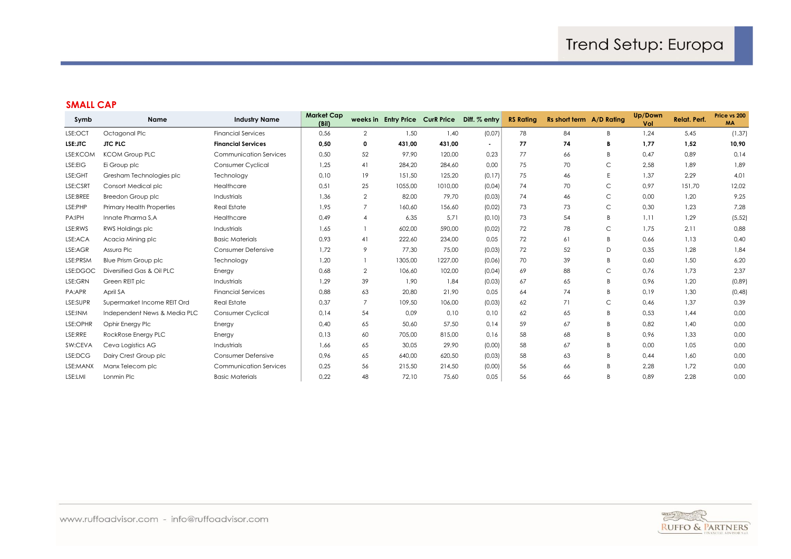## **SMALL CAP**

| Symb     | <b>Name</b>                      | <b>Industry Name</b>          | Market Cap<br>(Bil) |                |         |         | weeks in Entry Price CurR Price Diff. % entry | <b>RS Rating</b> | Rs short term A/D Rating |              | Up/Down<br>Vol | <b>Relat. Perf.</b> | Price vs 200<br><b>MA</b> |
|----------|----------------------------------|-------------------------------|---------------------|----------------|---------|---------|-----------------------------------------------|------------------|--------------------------|--------------|----------------|---------------------|---------------------------|
| LSE:OCT  | Octagonal Plc                    | <b>Financial Services</b>     | 0,56                | $\overline{2}$ | 1,50    | 1,40    | (0,07)                                        | 78               | 84                       | B            | 1,24           | 5.45                | (1, 37)                   |
| LSE:JTC  | <b>JTC PLC</b>                   | <b>Financial Services</b>     | 0,50                | 0              | 431,00  | 431,00  | $\overline{\phantom{a}}$                      | 77               | 74                       | В            | 1,77           | 1,52                | 10,90                     |
| LSE:KCOM | <b>KCOM Group PLC</b>            | <b>Communication Services</b> | 0,50                | 52             | 97.90   | 120,00  | 0,23                                          | 77               | 66                       | R            | 0.47           | 0,89                | 0,14                      |
| LSE:EIG  | Ei Group plc                     | Consumer Cyclical             | 1,25                | 41             | 284,20  | 284,60  | 0,00                                          | 75               | 70                       | C            | 2,58           | 1,89                | 1,89                      |
| LSE:GHT  | Gresham Technologies plc         | Technology                    | 0,10                | 19             | 151,50  | 125,20  | (0, 17)                                       | 75               | 46                       | E            | 1,37           | 2,29                | 4,01                      |
| LSE:CSRT | Consort Medical plc              | Healthcare                    | 0,51                | 25             | 1055.00 | 1010.00 | (0,04)                                        | 74               | 70                       | C            | 0.97           | 151.70              | 12,02                     |
| LSE:BREE | Breedon Group plc                | <b>Industrials</b>            | 1,36                | $\overline{2}$ | 82.00   | 79,70   | (0,03)                                        | 74               | 46                       | $\mathsf C$  | 0,00           | 1,20                | 9,25                      |
| LSE:PHP  | <b>Primary Health Properties</b> | <b>Real Estate</b>            | 1.95                |                | 160,60  | 156,60  | (0.02)                                        | 73               | 73                       | $\mathsf{C}$ | 0,30           | 1,23                | 7,28                      |
| PA:IPH   | Innate Pharma S,A                | Healthcare                    | 0,49                | $\overline{4}$ | 6,35    | 5,71    | (0, 10)                                       | 73               | 54                       | B            | 1,11           | 1,29                | (5, 52)                   |
| LSE:RWS  | RWS Holdings plc                 | <b>Industrials</b>            | 1,65                |                | 602,00  | 590,00  | (0,02)                                        | 72               | 78                       | C            | 1,75           | 2,11                | 0,88                      |
| LSE:ACA  | Acacia Mining plc                | <b>Basic Materials</b>        | 0,93                | 41             | 222,60  | 234,00  | 0,05                                          | 72               | 61                       | B            | 0,66           | 1,13                | 0,40                      |
| LSE:AGR  | Assura Plc                       | Consumer Defensive            | 1.72                | 9              | 77.30   | 75,00   | (0,03)                                        | 72               | 52                       | D            | 0,35           | 1,28                | 1,84                      |
| LSE:PRSM | <b>Blue Prism Group plc</b>      | Technology                    | 1,20                |                | 1305,00 | 1227,00 | (0,06)                                        | 70               | 39                       | B            | 0,60           | 1,50                | 6,20                      |
| LSE:DGOC | Diversified Gas & Oil PLC        | Energy                        | 0,68                | $\overline{2}$ | 106,60  | 102,00  | (0,04)                                        | 69               | 88                       | C            | 0,76           | 1,73                | 2,37                      |
| LSE:GRN  | Green REIT plc                   | <b>Industrials</b>            | 1,29                | 39             | 1,90    | 1,84    | (0,03)                                        | 67               | 65                       | B            | 0,96           | 1,20                | (0,89)                    |
| PA:APR   | April SA                         | <b>Financial Services</b>     | 0.88                | 63             | 20.80   | 21,90   | 0.05                                          | 64               | 74                       | B            | 0,19           | 1,30                | (0, 48)                   |
| LSE:SUPR | Supermarket Income REIT Ord      | Real Estate                   | 0,37                | $\overline{7}$ | 109.50  | 106,00  | (0,03)                                        | 62               | 71                       | C            | 0,46           | 1,37                | 0,39                      |
| LSE:INM  | Independent News & Media PLC     | Consumer Cyclical             | 0,14                | 54             | 0,09    | 0,10    | 0,10                                          | 62               | 65                       | B            | 0,53           | 1,44                | 0,00                      |
| LSE:OPHR | Ophir Energy Plc                 | Energy                        | 0,40                | 65             | 50,60   | 57,50   | 0.14                                          | 59               | 67                       | B            | 0,82           | 1,40                | 0,00                      |
| LSE:RRE  | RockRose Energy PLC              | Energy                        | 0,13                | 60             | 705.00  | 815,00  | 0.16                                          | 58               | 68                       | B            | 0,96           | 1,33                | 0,00                      |
| SW:CEVA  | Ceva Logistics AG                | Industrials                   | 1,66                | 65             | 30,05   | 29,90   | (0,00)                                        | 58               | 67                       | B            | 0,00           | 1,05                | 0,00                      |
| LSE:DCG  | Dairy Crest Group plc            | Consumer Defensive            | 0,96                | 65             | 640,00  | 620,50  | (0,03)                                        | 58               | 63                       | B            | 0,44           | 1,60                | 0,00                      |
| LSE:MANX | Manx Telecom plc                 | <b>Communication Services</b> | 0,25                | 56             | 215,50  | 214,50  | (0,00)                                        | 56               | 66                       | B            | 2,28           | 1,72                | 0,00                      |
| LSE:LMI  | Lonmin Plc                       | <b>Basic Materials</b>        | 0,22                | 48             | 72,10   | 75,60   | 0,05                                          | 56               | 66                       | B            | 0,89           | 2,28                | 0,00                      |